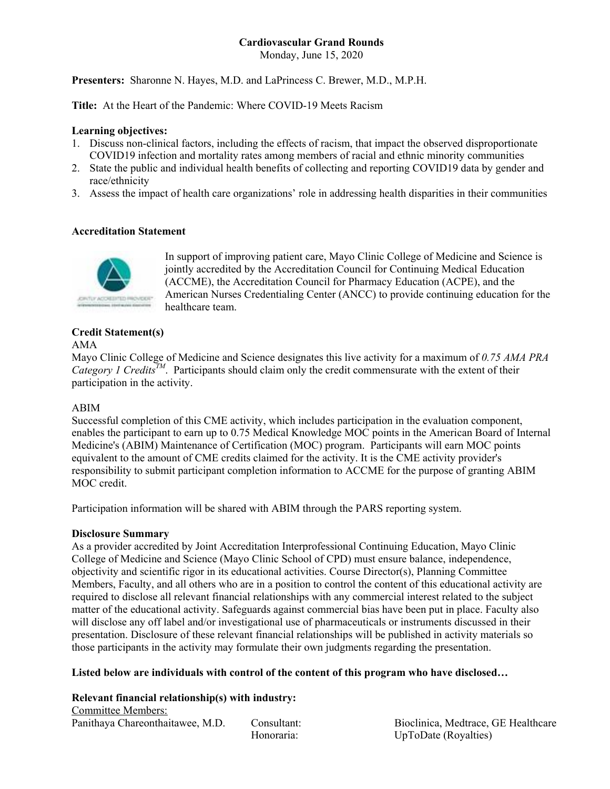## **Cardiovascular Grand Rounds**

Monday, June 15, 2020

**Presenters:** Sharonne N. Hayes, M.D. and LaPrincess C. Brewer, M.D., M.P.H.

**Title:** At the Heart of the Pandemic: Where COVID-19 Meets Racism

### **Learning objectives:**

- 1. Discuss non-clinical factors, including the effects of racism, that impact the observed disproportionate COVID19 infection and mortality rates among members of racial and ethnic minority communities
- 2. State the public and individual health benefits of collecting and reporting COVID19 data by gender and race/ethnicity
- 3. Assess the impact of health care organizations' role in addressing health disparities in their communities

### **Accreditation Statement**



In support of improving patient care, Mayo Clinic College of Medicine and Science is jointly accredited by the Accreditation Council for Continuing Medical Education (ACCME), the Accreditation Council for Pharmacy Education (ACPE), and the American Nurses Credentialing Center (ANCC) to provide continuing education for the healthcare team.

# **Credit Statement(s)**

### AMA

Mayo Clinic College of Medicine and Science designates this live activity for a maximum of *0.75 AMA PRA Category 1 Credits<sup>TM</sup>*. Participants should claim only the credit commensurate with the extent of their participation in the activity.

## ABIM

Successful completion of this CME activity, which includes participation in the evaluation component, enables the participant to earn up to 0.75 Medical Knowledge MOC points in the American Board of Internal Medicine's (ABIM) Maintenance of Certification (MOC) program. Participants will earn MOC points equivalent to the amount of CME credits claimed for the activity. It is the CME activity provider's responsibility to submit participant completion information to ACCME for the purpose of granting ABIM MOC credit.

Participation information will be shared with ABIM through the PARS reporting system.

#### **Disclosure Summary**

As a provider accredited by Joint Accreditation Interprofessional Continuing Education, Mayo Clinic College of Medicine and Science (Mayo Clinic School of CPD) must ensure balance, independence, objectivity and scientific rigor in its educational activities. Course Director(s), Planning Committee Members, Faculty, and all others who are in a position to control the content of this educational activity are required to disclose all relevant financial relationships with any commercial interest related to the subject matter of the educational activity. Safeguards against commercial bias have been put in place. Faculty also will disclose any off label and/or investigational use of pharmaceuticals or instruments discussed in their presentation. Disclosure of these relevant financial relationships will be published in activity materials so those participants in the activity may formulate their own judgments regarding the presentation.

**Listed below are individuals with control of the content of this program who have disclosed…** 

**Relevant financial relationship(s) with industry:**  Committee Members: Panithaya Chareonthaitawee, M.D. Consultant: Bioclinica, Medtrace, GE Healthcare

Honoraria: UpToDate (Royalties)